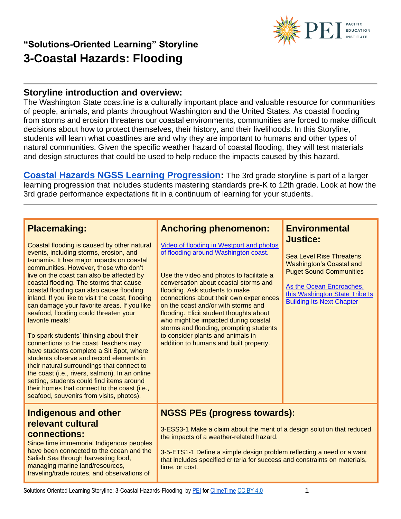

#### **Storyline introduction and overview:**

The Washington State coastline is a culturally important place and valuable resource for communities of people, animals, and plants throughout Washington and the United States. As coastal flooding from storms and erosion threatens our coastal environments, communities are forced to make difficult decisions about how to protect themselves, their history, and their livelihoods. In this Storyline, students will learn what coastlines are and why they are important to humans and other types of natural communities. Given the specific weather hazard of coastal flooding, they will test materials and design structures that could be used to help reduce the impacts caused by this hazard.

**[Coastal Hazards NGSS Learning Progression:](https://pacificeductioninstitute.sharepoint.com/:x:/s/Program/Ectwt0BNEIZJp8v5VrB2Hu4Blxk6i2b6Kx9MkofojSim7g?e=cLI0qY)** The 3rd grade storyline is part of a larger learning progression that includes students mastering standards pre-K to 12th grade. Look at how the 3rd grade performance expectations fit in a continuum of learning for your students.

#### **Placemaking:**

Coastal flooding is caused by other natural events, including storms, erosion, and tsunamis. It has major impacts on coastal communities. However, those who don't live on the coast can also be affected by coastal flooding. The storms that cause coastal flooding can also cause flooding inland. If you like to visit the coast, flooding can damage your favorite areas. If you like seafood, flooding could threaten your favorite meals!

To spark students' thinking about their connections to the coast, teachers may have students complete a Sit Spot, where students observe and record elements in their natural surroundings that connect to the coast (i.e., rivers, salmon). In an online setting, students could find items around their homes that connect to the coast (i.e., seafood, souvenirs from visits, photos).

### **Indigenous and other relevant cultural**

#### **connections:**

Since time immemorial Indigenous peoples have been connected to the ocean and the Salish Sea through harvesting food, managing marine land/resources, traveling/trade routes, and observations of

### **Anchoring phenomenon:**

[Video of flooding in Westport and photos](https://komonews.com/news/local/flooding-reported-as-wash-coast-battered-by-gigantic-waves)  [of flooding around Washington coast.](https://komonews.com/news/local/flooding-reported-as-wash-coast-battered-by-gigantic-waves)

Use the video and photos to facilitate a conversation about coastal storms and flooding. Ask students to make connections about their own experiences on the coast and/or with storms and flooding. Elicit student thoughts about who might be impacted during coastal storms and flooding, prompting students to consider plants and animals in addition to humans and built property.

#### **Environmental Justice:**

Sea Level Rise Threatens Washington's Coastal and Puget Sound Communities

[As the Ocean Encroaches,](https://www.nrdc.org/stories/ocean-encroaches-washington-state-tribe-building-its-next-chapter)  [this Washington State Tribe Is](https://www.nrdc.org/stories/ocean-encroaches-washington-state-tribe-building-its-next-chapter)  [Building Its Next Chapter](https://www.nrdc.org/stories/ocean-encroaches-washington-state-tribe-building-its-next-chapter)

### **NGSS PEs (progress towards):**

3-ESS3-1 Make a claim about the merit of a design solution that reduced the impacts of a weather-related hazard.

3-5-ETS1-1 Define a simple design problem reflecting a need or a want that includes specified criteria for success and constraints on materials, time, or cost.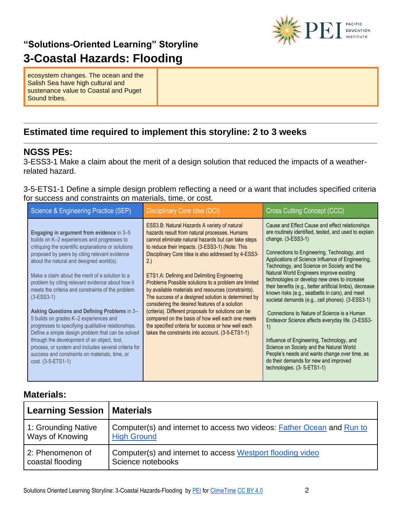

ecosystem changes. The ocean and the Salish Sea have high cultural and sustenance value to Coastal and Puget Sound tribes.

### **Estimated time required to implement this storyline: 2 to 3 weeks**

#### **NGSS PEs:**

3-ESS3-1 Make a claim about the merit of a design solution that reduced the impacts of a weatherrelated hazard.

3-5-ETS1-1 Define a simple design problem reflecting a need or a want that includes specified criteria for success and constraints on materials, time, or cost.

| Science & Engineering Practice (SEP)                                                                                                                                                                                                                                                                                                                                                                                                                                                                                                                                                                                                                                                                                                                                                                           | Disciplinary Core Idea (DCI)                                                                                                                                                                                                                                                                                                                                                                                                                                                                                                                                                                                                                                                                                                                                        | Cross Cutting Concept (CCC)                                                                                                                                                                                                                                                                                                                                                                                                                                                                                                                                                                                                                                                                                                                                                                                                                                                                                                     |
|----------------------------------------------------------------------------------------------------------------------------------------------------------------------------------------------------------------------------------------------------------------------------------------------------------------------------------------------------------------------------------------------------------------------------------------------------------------------------------------------------------------------------------------------------------------------------------------------------------------------------------------------------------------------------------------------------------------------------------------------------------------------------------------------------------------|---------------------------------------------------------------------------------------------------------------------------------------------------------------------------------------------------------------------------------------------------------------------------------------------------------------------------------------------------------------------------------------------------------------------------------------------------------------------------------------------------------------------------------------------------------------------------------------------------------------------------------------------------------------------------------------------------------------------------------------------------------------------|---------------------------------------------------------------------------------------------------------------------------------------------------------------------------------------------------------------------------------------------------------------------------------------------------------------------------------------------------------------------------------------------------------------------------------------------------------------------------------------------------------------------------------------------------------------------------------------------------------------------------------------------------------------------------------------------------------------------------------------------------------------------------------------------------------------------------------------------------------------------------------------------------------------------------------|
| Engaging in argument from evidence in 3-5<br>builds on K-2 experiences and progresses to<br>critiquing the scientific explanations or solutions<br>proposed by peers by citing relevant evidence<br>about the natural and designed world(s).<br>Make a claim about the merit of a solution to a<br>problem by citing relevant evidence about how it<br>meets the criteria and constraints of the problem.<br>$(3-ESS3-1)$<br>Asking Questions and Defining Problems in 3-<br>5 builds on grades K-2 experiences and<br>progresses to specifying qualitative relationships.<br>Define a simple design problem that can be solved<br>through the development of an object, tool,<br>process, or system and includes several criteria for<br>success and constraints on materials, time, or<br>cost. (3-5-ETS1-1) | ESS3.B: Natural Hazards A variety of natural<br>hazards result from natural processes. Humans<br>cannot eliminate natural hazards but can take steps<br>to reduce their impacts. (3-ESS3-1) (Note: This<br>Disciplinary Core Idea is also addressed by 4-ESS3-<br>2.)<br>ETS1.A: Defining and Delimiting Engineering<br>Problems Possible solutions to a problem are limited<br>by available materials and resources (constraints).<br>The success of a designed solution is determined by<br>considering the desired features of a solution<br>(criteria). Different proposals for solutions can be<br>compared on the basis of how well each one meets<br>the specified criteria for success or how well each<br>takes the constraints into account. (3-5-ETS1-1) | Cause and Effect Cause and effect relationships<br>are routinely identified, tested, and used to explain<br>change. $(3-ESS3-1)$<br>Connections to Engineering, Technology, and<br>Applications of Science Influence of Engineering,<br>Technology, and Science on Society and the<br>Natural World Engineers improve existing<br>technologies or develop new ones to increase<br>their benefits (e.g., better artificial limbs), decrease<br>known risks (e.g., seatbelts in cars), and meet<br>societal demands (e.g., cell phones). (3-ESS3-1)<br>Connections to Nature of Science is a Human<br>Endeavor Science affects everyday life. (3-ESS3-<br>$\left( \begin{matrix} 1 \end{matrix} \right)$<br>Influence of Engineering, Technology, and<br>Science on Society and the Natural World<br>People's needs and wants change over time, as<br>do their demands for new and improved<br>technologies. $(3 - 5 - ETS1 - 1)$ |

### **Materials:**

| <b>Learning Session</b> | Materials                                                              |
|-------------------------|------------------------------------------------------------------------|
| 1: Grounding Native     | Computer(s) and internet to access two videos: Father Ocean and Run to |
| Ways of Knowing         | <b>High Ground</b>                                                     |
| 2: Phenomenon of        | Computer(s) and internet to access Westport flooding video             |
| coastal flooding        | Science notebooks                                                      |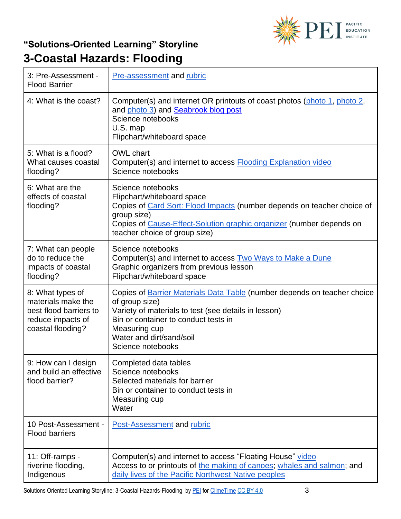

| 3: Pre-Assessment -<br><b>Flood Barrier</b>                                                                | <b>Pre-assessment and rubric</b>                                                                                                                                                                                                                                    |
|------------------------------------------------------------------------------------------------------------|---------------------------------------------------------------------------------------------------------------------------------------------------------------------------------------------------------------------------------------------------------------------|
| 4: What is the coast?                                                                                      | Computer(s) and internet OR printouts of coast photos (photo 1, photo 2,<br>and photo 3) and Seabrook blog post<br>Science notebooks<br>U.S. map<br>Flipchart/whiteboard space                                                                                      |
| 5: What is a flood?<br>What causes coastal<br>flooding?                                                    | OWL chart<br>Computer(s) and internet to access <b>Flooding Explanation video</b><br>Science notebooks                                                                                                                                                              |
| 6: What are the<br>effects of coastal<br>flooding?                                                         | Science notebooks<br>Flipchart/whiteboard space<br>Copies of Card Sort: Flood Impacts (number depends on teacher choice of<br>group size)<br>Copies of Cause-Effect-Solution graphic organizer (number depends on<br>teacher choice of group size)                  |
| 7: What can people<br>do to reduce the<br>impacts of coastal<br>flooding?                                  | Science notebooks<br>Computer(s) and internet to access <b>Two Ways to Make a Dune</b><br>Graphic organizers from previous lesson<br>Flipchart/whiteboard space                                                                                                     |
| 8: What types of<br>materials make the<br>best flood barriers to<br>reduce impacts of<br>coastal flooding? | Copies of <b>Barrier Materials Data Table</b> (number depends on teacher choice<br>of group size)<br>Variety of materials to test (see details in lesson)<br>Bin or container to conduct tests in<br>Measuring cup<br>Water and dirt/sand/soil<br>Science notebooks |
| 9: How can I design<br>and build an effective<br>flood barrier?                                            | Completed data tables<br>Science notebooks<br>Selected materials for barrier<br>Bin or container to conduct tests in<br>Measuring cup<br>Water                                                                                                                      |
| 10 Post-Assessment -<br><b>Flood barriers</b>                                                              | Post-Assessment and rubric                                                                                                                                                                                                                                          |
| 11: Off-ramps -<br>riverine flooding,<br>Indigenous                                                        | Computer(s) and internet to access "Floating House" video<br>Access to or printouts of the making of canoes; whales and salmon; and<br>daily lives of the Pacific Northwest Native peoples                                                                          |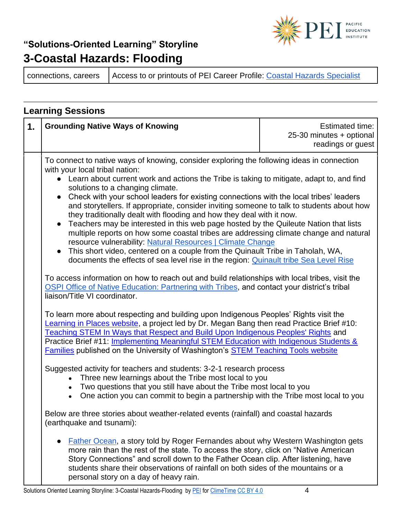

connections, careers | Access to or printouts of PEI Career Profile: [Coastal Hazards Specialist](https://1ekryb746l31vb9z22pz51o9-wpengine.netdna-ssl.com/wp-content/uploads/2020/04/Coastal-Hazards-Specialist-Ian-Miller-Career-Profile.pdf)

### **Learning Sessions 1.** Grounding Native Ways of Knowing **Example 20** Estimated time: 25-30 minutes + optional readings or guest To connect to native ways of knowing, consider exploring the following ideas in connection with your local tribal nation: ● Learn about current work and actions the Tribe is taking to mitigate, adapt to, and find solutions to a changing climate. • Check with your school leaders for existing connections with the local tribes' leaders and storytellers. If appropriate, consider inviting someone to talk to students about how they traditionally dealt with flooding and how they deal with it now. • Teachers may be interested in this web page hosted by the Quileute Nation that lists multiple reports on how some coastal tribes are addressing climate change and natural resource vulnerability: [Natural Resources | Climate Change](https://quileutenation.org/natural-resources/climate-change/) ● This short video, centered on a couple from the Quinault Tribe in Taholah, WA, documents the effects of sea level rise in the region: [Quinault tribe Sea Level Rise](https://www.facebook.com/5550296508/videos/251708232088701/?__so__=watchlist&__rv__=video_home_www_playlist_video_list) To access information on how to reach out and build relationships with local tribes, visit the  [OSPI Office of Native Education: Partnering with Tribes,](https://www.k12.wa.us/student-success/resources-subject-area/time-immemorial-tribal-sovereignty-washington-state/partnering-tribes) and contact your district's tribal liaison/Title VI coordinator. To learn more about respecting and building upon Indigenous Peoples' Rights visit the [Learning in Places website,](http://learninginplaces.org/) a project led by Dr. Megan Bang then read Practice Brief #10: [Teaching STEM In Ways that Respect and Build Upon Indigenous Peoples' Rights](http://stemteachingtools.org/brief/10) and Practice Brief #11: [Implementing Meaningful STEM Education with Indigenous Students &](http://stemteachingtools.org/brief/11)  [Families](http://stemteachingtools.org/brief/11) published on the University of Washington's [STEM Teaching Tools website](http://stemteachingtools.org/) Suggested activity for teachers and students: 3-2-1 research process • Three new learnings about the Tribe most local to you • Two questions that you still have about the Tribe most local to you • One action you can commit to begin a partnership with the Tribe most local to you Below are three stories about weather-related events (rainfall) and coastal hazards (earthquake and tsunami): [Father Ocean,](https://www.wastatelaser.org/environmental-sustainability-enhanced-lessons/) a story told by Roger Fernandes about why Western Washington gets more rain than the rest of the state. To access the story, click on "Native American Story Connections" and scroll down to the Father Ocean clip. After listening, have students share their observations of rainfall on both sides of the mountains or a

personal story on a day of heavy rain.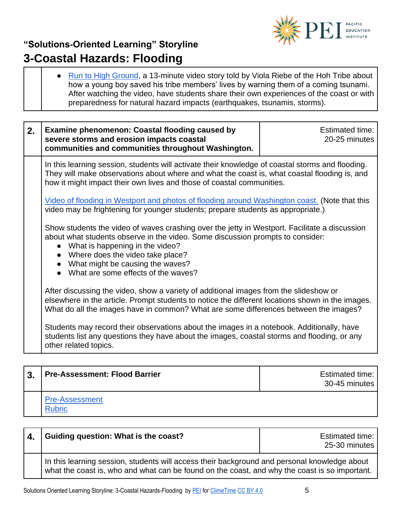

● [Run to High Ground,](https://www.youtube.com/watch?v=CAiwcZXfUGw) a 13-minute video story told by Viola Riebe of the Hoh Tribe about how a young boy saved his tribe members' lives by warning them of a coming tsunami. After watching the video, have students share their own experiences of the coast or with preparedness for natural hazard impacts (earthquakes, tsunamis, storms).

| 2. | <b>Examine phenomenon: Coastal flooding caused by</b><br>severe storms and erosion impacts coastal<br>communities and communities throughout Washington.                                                                                                                                                                            | <b>Estimated time:</b><br>20-25 minutes |
|----|-------------------------------------------------------------------------------------------------------------------------------------------------------------------------------------------------------------------------------------------------------------------------------------------------------------------------------------|-----------------------------------------|
|    | In this learning session, students will activate their knowledge of coastal storms and flooding.<br>They will make observations about where and what the coast is, what coastal flooding is, and<br>how it might impact their own lives and those of coastal communities.                                                           |                                         |
|    | <u>Video of flooding in Westport and photos of flooding around Washington coast.</u> (Note that this<br>video may be frightening for younger students; prepare students as appropriate.)                                                                                                                                            |                                         |
|    | Show students the video of waves crashing over the jetty in Westport. Facilitate a discussion<br>about what students observe in the video. Some discussion prompts to consider:<br>What is happening in the video?<br>• Where does the video take place?<br>What might be causing the waves?<br>What are some effects of the waves? |                                         |
|    | After discussing the video, show a variety of additional images from the slideshow or<br>elsewhere in the article. Prompt students to notice the different locations shown in the images.<br>What do all the images have in common? What are some differences between the images?                                                   |                                         |
|    | Students may record their observations about the images in a notebook. Additionally, have<br>students list any questions they have about the images, coastal storms and flooding, or any<br>other related topics.                                                                                                                   |                                         |

| 3 <sub>1</sub> | <b>Pre-Assessment: Flood Barrier</b> | Estimated time:<br>30-45 minutes l |
|----------------|--------------------------------------|------------------------------------|
|                | <b>Pre-Assessment</b><br>Pubric      |                                    |

| 4. | Guiding question: What is the coast?                                                                                                                                                          | Estimated time:<br>25-30 minutes |
|----|-----------------------------------------------------------------------------------------------------------------------------------------------------------------------------------------------|----------------------------------|
|    | In this learning session, students will access their background and personal knowledge about<br>what the coast is, who and what can be found on the coast, and why the coast is so important. |                                  |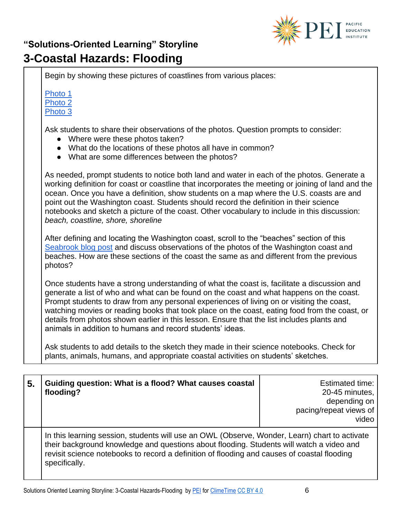

Begin by showing these pictures of coastlines from various places: [Photo 1](https://unsplash.com/photos/0vi3zDAE4qY) [Photo 2](https://unsplash.com/photos/jG1qamY6TGw) [Photo 3](https://unsplash.com/photos/dKxB6s11lKk) Ask students to share their observations of the photos. Question prompts to consider: • Where were these photos taken? ● What do the locations of these photos all have in common? ● What are some differences between the photos? As needed, prompt students to notice both land and water in each of the photos. Generate a working definition for coast or coastline that incorporates the meeting or joining of land and the ocean. Once you have a definition, show students on a map where the U.S. coasts are and point out the Washington coast. Students should record the definition in their science notebooks and sketch a picture of the coast. Other vocabulary to include in this discussion: *beach, coastline, shore, shoreline* After defining and locating the Washington coast, scroll to the "beaches" section of this [Seabrook blog post](https://www.seabrookwa.com/blog/things-do/22-reasons-love-washington-coast-winter) and discuss observations of the photos of the Washington coast and beaches. How are these sections of the coast the same as and different from the previous photos? Once students have a strong understanding of what the coast is, facilitate a discussion and generate a list of who and what can be found on the coast and what happens on the coast. Prompt students to draw from any personal experiences of living on or visiting the coast, watching movies or reading books that took place on the coast, eating food from the coast, or details from photos shown earlier in this lesson. Ensure that the list includes plants and animals in addition to humans and record students' ideas. Ask students to add details to the sketch they made in their science notebooks. Check for plants, animals, humans, and appropriate coastal activities on students' sketches.

| 5. | Guiding question: What is a flood? What causes coastal<br>flooding?                                                                                                                                                                                                                                       | Estimated time:<br>20-45 minutes,<br>depending on<br>pacing/repeat views of<br>video |
|----|-----------------------------------------------------------------------------------------------------------------------------------------------------------------------------------------------------------------------------------------------------------------------------------------------------------|--------------------------------------------------------------------------------------|
|    | In this learning session, students will use an OWL (Observe, Wonder, Learn) chart to activate<br>their background knowledge and questions about flooding. Students will watch a video and<br>revisit science notebooks to record a definition of flooding and causes of coastal flooding<br>specifically. |                                                                                      |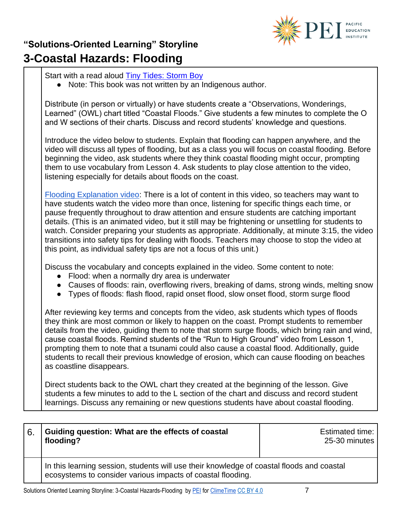

## **"Solutions-Oriented Learning" Storyline 3-Coastal Hazards: Flooding**

| Start with a read aloud <b>Tiny Tides: Storm Boy</b><br>• Note: This book was not written by an Indigenous author.                                                                                                                                                                                                                                                                                                                                                                                                                                                                                                                                                       |
|--------------------------------------------------------------------------------------------------------------------------------------------------------------------------------------------------------------------------------------------------------------------------------------------------------------------------------------------------------------------------------------------------------------------------------------------------------------------------------------------------------------------------------------------------------------------------------------------------------------------------------------------------------------------------|
| Distribute (in person or virtually) or have students create a "Observations, Wonderings,<br>Learned" (OWL) chart titled "Coastal Floods." Give students a few minutes to complete the O<br>and W sections of their charts. Discuss and record students' knowledge and questions.                                                                                                                                                                                                                                                                                                                                                                                         |
| Introduce the video below to students. Explain that flooding can happen anywhere, and the<br>video will discuss all types of flooding, but as a class you will focus on coastal flooding. Before<br>beginning the video, ask students where they think coastal flooding might occur, prompting<br>them to use vocabulary from Lesson 4. Ask students to play close attention to the video,<br>listening especially for details about floods on the coast.                                                                                                                                                                                                                |
| Flooding Explanation video: There is a lot of content in this video, so teachers may want to<br>have students watch the video more than once, listening for specific things each time, or<br>pause frequently throughout to draw attention and ensure students are catching important<br>details. (This is an animated video, but it still may be frightening or unsettling for students to<br>watch. Consider preparing your students as appropriate. Additionally, at minute 3:15, the video<br>transitions into safety tips for dealing with floods. Teachers may choose to stop the video at<br>this point, as individual safety tips are not a focus of this unit.) |
| Discuss the vocabulary and concepts explained in the video. Some content to note:<br>Flood: when a normally dry area is underwater<br>Causes of floods: rain, overflowing rivers, breaking of dams, strong winds, melting snow<br>Types of floods: flash flood, rapid onset flood, slow onset flood, storm surge flood<br>$\bullet$                                                                                                                                                                                                                                                                                                                                      |
| After reviewing key terms and concepts from the video ask students which types of floods                                                                                                                                                                                                                                                                                                                                                                                                                                                                                                                                                                                 |

ewing key terms and concepts from the video, ask students which types of floods they think are most common or likely to happen on the coast. Prompt students to remember details from the video, guiding them to note that storm surge floods, which bring rain and wind, cause coastal floods. Remind students of the "Run to High Ground" video from Lesson 1, prompting them to note that a tsunami could also cause a coastal flood. Additionally, guide students to recall their previous knowledge of erosion, which can cause flooding on beaches as coastline disappears.

Direct students back to the OWL chart they created at the beginning of the lesson. Give students a few minutes to add to the L section of the chart and discuss and record student learnings. Discuss any remaining or new questions students have about coastal flooding.

| 6. | Guiding question: What are the effects of coastal<br>flooding?                                                                                           | <b>Estimated time:</b><br>25-30 minutes |
|----|----------------------------------------------------------------------------------------------------------------------------------------------------------|-----------------------------------------|
|    | In this learning session, students will use their knowledge of coastal floods and coastal<br>ecosystems to consider various impacts of coastal flooding. |                                         |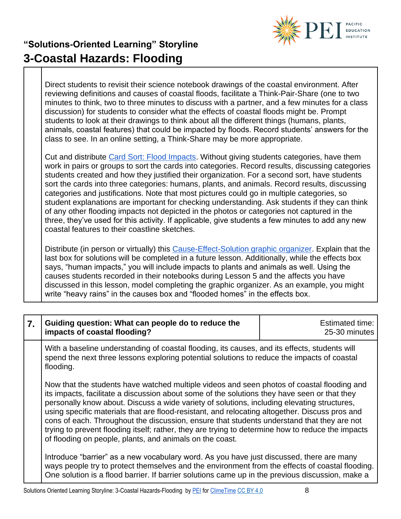

Direct students to revisit their science notebook drawings of the coastal environment. After reviewing definitions and causes of coastal floods, facilitate a Think-Pair-Share (one to two minutes to think, two to three minutes to discuss with a partner, and a few minutes for a class discussion) for students to consider what the effects of coastal floods might be. Prompt students to look at their drawings to think about all the different things (humans, plants, animals, coastal features) that could be impacted by floods. Record students' answers for the class to see. In an online setting, a Think-Share may be more appropriate.

Cut and distribute [Card Sort: Flood Impacts.](https://pacificeductioninstitute.sharepoint.com/:w:/s/Program/EcE2ZEaMl9pPn-mxPgbzmmUBs7Mh3LL4XA67iC-r4T9HDA?e=XEY9KU) Without giving students categories, have them work in pairs or groups to sort the cards into categories. Record results, discussing categories students created and how they justified their organization. For a second sort, have students sort the cards into three categories: humans, plants, and animals. Record results, discussing categories and justifications. Note that most pictures could go in multiple categories, so student explanations are important for checking understanding. Ask students if they can think of any other flooding impacts not depicted in the photos or categories not captured in the three, they've used for this activity. If applicable, give students a few minutes to add any new coastal features to their coastline sketches.

Distribute (in person or virtually) this [Cause-Effect-Solution graphic organizer.](https://static1.squarespace.com/static/59c3bad759cc68f757a465a3/t/5e5636498291701b1d60b4ae/1582708298120/3-ESS3-1+Weather+Related+Hazard+Design+Solution+%28Student+Version%29.pdf) Explain that the last box for solutions will be completed in a future lesson. Additionally, while the effects box says, "human impacts," you will include impacts to plants and animals as well. Using the causes students recorded in their notebooks during Lesson 5 and the affects you have discussed in this lesson, model completing the graphic organizer. As an example, you might write "heavy rains" in the causes box and "flooded homes" in the effects box.

| 7. | Guiding question: What can people do to reduce the<br>impacts of coastal flooding?                                                                                                                                                                                                                                                                                                                                                                                                                                                                                                                                                                         | <b>Estimated time:</b><br>25-30 minutes |
|----|------------------------------------------------------------------------------------------------------------------------------------------------------------------------------------------------------------------------------------------------------------------------------------------------------------------------------------------------------------------------------------------------------------------------------------------------------------------------------------------------------------------------------------------------------------------------------------------------------------------------------------------------------------|-----------------------------------------|
|    | With a baseline understanding of coastal flooding, its causes, and its effects, students will<br>spend the next three lessons exploring potential solutions to reduce the impacts of coastal<br>flooding.                                                                                                                                                                                                                                                                                                                                                                                                                                                  |                                         |
|    | Now that the students have watched multiple videos and seen photos of coastal flooding and<br>its impacts, facilitate a discussion about some of the solutions they have seen or that they<br>personally know about. Discuss a wide variety of solutions, including elevating structures,<br>using specific materials that are flood-resistant, and relocating altogether. Discuss pros and<br>cons of each. Throughout the discussion, ensure that students understand that they are not<br>trying to prevent flooding itself; rather, they are trying to determine how to reduce the impacts<br>of flooding on people, plants, and animals on the coast. |                                         |
|    | Introduce "barrier" as a new vocabulary word. As you have just discussed, there are many<br>ways people try to protect themselves and the environment from the effects of coastal flooding.<br>One solution is a flood barrier. If barrier solutions came up in the previous discussion, make a                                                                                                                                                                                                                                                                                                                                                            |                                         |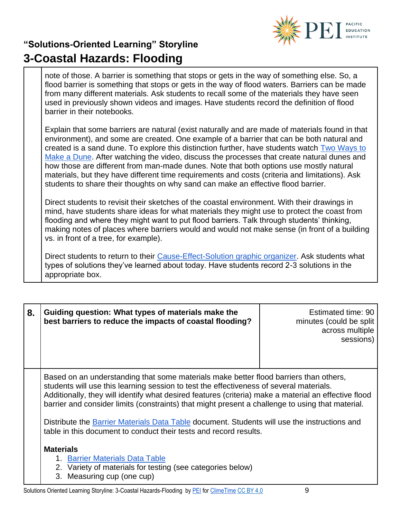

note of those. A barrier is something that stops or gets in the way of something else. So, a flood barrier is something that stops or gets in the way of flood waters. Barriers can be made from many different materials. Ask students to recall some of the materials they have seen used in previously shown videos and images. Have students record the definition of flood barrier in their notebooks.

Explain that some barriers are natural (exist naturally and are made of materials found in that environment), and some are created. One example of a barrier that can be both natural and created is a sand dune. To explore this distinction further, have students watch [Two Ways to](https://www.youtube.com/watch?v=5W3_y5_3w9A)  [Make a Dune.](https://www.youtube.com/watch?v=5W3_y5_3w9A) After watching the video, discuss the processes that create natural dunes and how those are different from man-made dunes. Note that both options use mostly natural materials, but they have different time requirements and costs (criteria and limitations). Ask students to share their thoughts on why sand can make an effective flood barrier.

Direct students to revisit their sketches of the coastal environment. With their drawings in mind, have students share ideas for what materials they might use to protect the coast from flooding and where they might want to put flood barriers. Talk through students' thinking, making notes of places where barriers would and would not make sense (in front of a building vs. in front of a tree, for example).

Direct students to return to their [Cause-Effect-Solution graphic organizer.](https://pacificeductioninstitute.sharepoint.com/:b:/s/Program/Ec-zGorU-c5Em38FcfrlGFoBygKsjpdJ-mO-NYxZJh58jg?e=2wyDLJ) Ask students what types of solutions they've learned about today. Have students record 2-3 solutions in the appropriate box.

| 8. | Guiding question: What types of materials make the<br>best barriers to reduce the impacts of coastal flooding?                                                                                                                                                                                                                                                                               | Estimated time: 90<br>minutes (could be split)<br>across multiple<br>sessions) |
|----|----------------------------------------------------------------------------------------------------------------------------------------------------------------------------------------------------------------------------------------------------------------------------------------------------------------------------------------------------------------------------------------------|--------------------------------------------------------------------------------|
|    | Based on an understanding that some materials make better flood barriers than others,<br>students will use this learning session to test the effectiveness of several materials.<br>Additionally, they will identify what desired features (criteria) make a material an effective flood<br>barrier and consider limits (constraints) that might present a challenge to using that material. |                                                                                |
|    | Distribute the Barrier Materials Data Table document. Students will use the instructions and<br>table in this document to conduct their tests and record results.                                                                                                                                                                                                                            |                                                                                |
|    | <b>Materials</b><br>1. Barrier Materials Data Table<br>2. Variety of materials for testing (see categories below)<br>3. Measuring cup (one cup)                                                                                                                                                                                                                                              |                                                                                |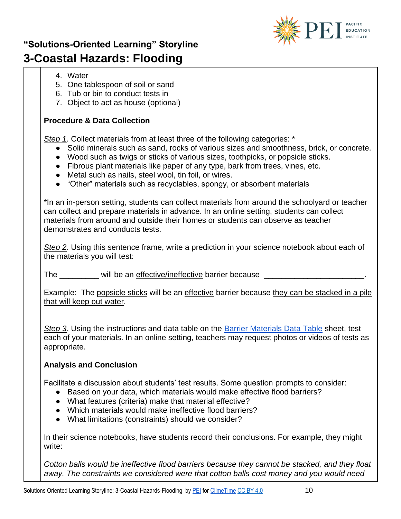

- 4. Water
- 5. One tablespoon of soil or sand
- 6. Tub or bin to conduct tests in
- 7. Object to act as house (optional)

#### **Procedure & Data Collection**

*Step 1*. Collect materials from at least three of the following categories: \*

- Solid minerals such as sand, rocks of various sizes and smoothness, brick, or concrete.
- Wood such as twigs or sticks of various sizes, toothpicks, or popsicle sticks.
- Fibrous plant materials like paper of any type, bark from trees, vines, etc.
- Metal such as nails, steel wool, tin foil, or wires.
- "Other" materials such as recyclables, spongy, or absorbent materials

\*In an in-person setting, students can collect materials from around the schoolyard or teacher can collect and prepare materials in advance. In an online setting, students can collect materials from around and outside their homes or students can observe as teacher demonstrates and conducts tests.

*Step 2*. Using this sentence frame, write a prediction in your science notebook about each of the materials you will test:

The will be an effective/ineffective barrier because

Example: The popsicle sticks will be an effective barrier because they can be stacked in a pile that will keep out water.

*Step 3*. Using the instructions and data table on the [Barrier Materials Data Table](https://pacificeductioninstitute.sharepoint.com/:b:/s/Program/EcK9IIO0isZIm1r6EaZ5uoUBx1vvO99Aa-l2H2Wxb2lShg?e=hfpjWx) sheet, test each of your materials. In an online setting, teachers may request photos or videos of tests as appropriate.

### **Analysis and Conclusion**

Facilitate a discussion about students' test results. Some question prompts to consider:

- Based on your data, which materials would make effective flood barriers?
- What features (criteria) make that material effective?
- Which materials would make ineffective flood barriers?
- What limitations (constraints) should we consider?

In their science notebooks, have students record their conclusions. For example, they might write:

*Cotton balls would be ineffective flood barriers because they cannot be stacked, and they float away. The constraints we considered were that cotton balls cost money and you would need*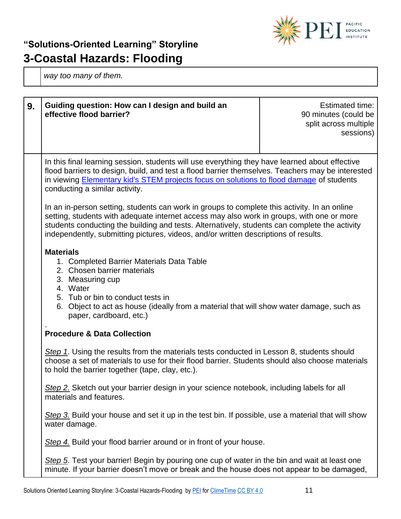

*way too many of them.* 

| 9. | Guiding question: How can I design and build an<br>effective flood barrier?                                                                                                                                                                                                                                                                                                       | Estimated time:<br>90 minutes (could be<br>split across multiple<br>sessions) |
|----|-----------------------------------------------------------------------------------------------------------------------------------------------------------------------------------------------------------------------------------------------------------------------------------------------------------------------------------------------------------------------------------|-------------------------------------------------------------------------------|
|    | In this final learning session, students will use everything they have learned about effective<br>flood barriers to design, build, and test a flood barrier themselves. Teachers may be interested<br>in viewing Elementary kid's STEM projects focus on solutions to flood damage of students<br>conducting a similar activity.                                                  |                                                                               |
|    | In an in-person setting, students can work in groups to complete this activity. In an online<br>setting, students with adequate internet access may also work in groups, with one or more<br>students conducting the building and tests. Alternatively, students can complete the activity<br>independently, submitting pictures, videos, and/or written descriptions of results. |                                                                               |
|    | <b>Materials</b><br>1. Completed Barrier Materials Data Table<br>2. Chosen barrier materials<br>3. Measuring cup<br>4. Water<br>5. Tub or bin to conduct tests in<br>6. Object to act as house (ideally from a material that will show water damage, such as<br>paper, cardboard, etc.)                                                                                           |                                                                               |
|    | <b>Procedure &amp; Data Collection</b>                                                                                                                                                                                                                                                                                                                                            |                                                                               |
|    | Step 1. Using the results from the materials tests conducted in Lesson 8, students should<br>choose a set of materials to use for their flood barrier. Students should also choose materials<br>to hold the barrier together (tape, clay, etc.).                                                                                                                                  |                                                                               |
|    | Step 2. Sketch out your barrier design in your science notebook, including labels for all<br>materials and features.                                                                                                                                                                                                                                                              |                                                                               |
|    | Step 3. Build your house and set it up in the test bin. If possible, use a material that will show<br>water damage.                                                                                                                                                                                                                                                               |                                                                               |
|    | Step 4. Build your flood barrier around or in front of your house.                                                                                                                                                                                                                                                                                                                |                                                                               |
|    | Step 5. Test your barrier! Begin by pouring one cup of water in the bin and wait at least one<br>minute. If your barrier doesn't move or break and the house does not appear to be damaged,                                                                                                                                                                                       |                                                                               |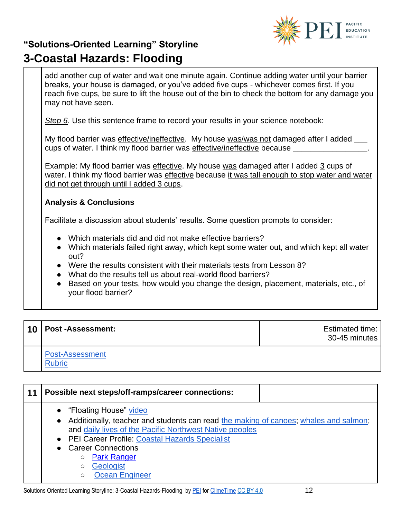

|                                   | add another cup of water and wait one minute again. Continue adding water until your barrier<br>breaks, your house is damaged, or you've added five cups - whichever comes first. If you<br>reach five cups, be sure to lift the house out of the bin to check the bottom for any damage you<br>may not have seen.                                                                                                         |  |  |
|-----------------------------------|----------------------------------------------------------------------------------------------------------------------------------------------------------------------------------------------------------------------------------------------------------------------------------------------------------------------------------------------------------------------------------------------------------------------------|--|--|
|                                   | Step 6. Use this sentence frame to record your results in your science notebook:                                                                                                                                                                                                                                                                                                                                           |  |  |
|                                   | My flood barrier was effective/ineffective. My house was/was not damaged after I added ___<br>cups of water. I think my flood barrier was effective/ineffective because __________________.                                                                                                                                                                                                                                |  |  |
|                                   | Example: My flood barrier was effective. My house was damaged after I added 3 cups of<br>water. I think my flood barrier was effective because it was tall enough to stop water and water<br>did not get through until I added 3 cups.                                                                                                                                                                                     |  |  |
| <b>Analysis &amp; Conclusions</b> |                                                                                                                                                                                                                                                                                                                                                                                                                            |  |  |
|                                   | Facilitate a discussion about students' results. Some question prompts to consider:                                                                                                                                                                                                                                                                                                                                        |  |  |
|                                   | • Which materials did and did not make effective barriers?<br>• Which materials failed right away, which kept some water out, and which kept all water<br>out?<br>• Were the results consistent with their materials tests from Lesson 8?<br>• What do the results tell us about real-world flood barriers?<br>Based on your tests, how would you change the design, placement, materials, etc., of<br>your flood barrier? |  |  |

| 10   Post -Assessment:                  | Estimated time:<br>30-45 minutes |
|-----------------------------------------|----------------------------------|
| <b>Post-Assessment</b><br><b>Rubric</b> |                                  |

| 11 | Possible next steps/off-ramps/career connections:                                                                                                                                                                                                                                                                                                                        |
|----|--------------------------------------------------------------------------------------------------------------------------------------------------------------------------------------------------------------------------------------------------------------------------------------------------------------------------------------------------------------------------|
|    | • "Floating House" video<br>Additionally, teacher and students can read the making of canoes; whales and salmon;<br>$\bullet$<br>and daily lives of the Pacific Northwest Native peoples<br>• PEI Career Profile: Coastal Hazards Specialist<br>• Career Connections<br><b>Park Ranger</b><br>$\circ$<br><b>Geologist</b><br>$\circ$<br><b>Ocean Engineer</b><br>$\circ$ |